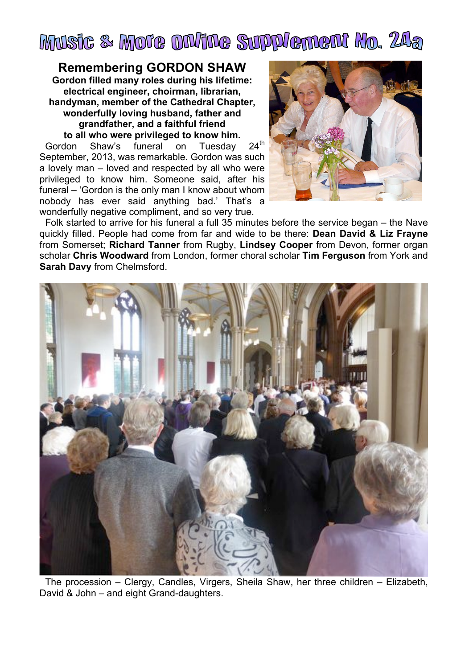

## **Remembering GORDON SHAW**

**Gordon filled many roles during his lifetime: electrical engineer, choirman, librarian, handyman, member of the Cathedral Chapter, wonderfully loving husband, father and grandfather, and a faithful friend to all who were privileged to know him.**

Gordon Shaw's funeral on Tuesday 24<sup>th</sup> September, 2013, was remarkable. Gordon was such a lovely man – loved and respected by all who were privileged to know him. Someone said, after his funeral – 'Gordon is the only man I know about whom nobody has ever said anything bad.' That's a wonderfully negative compliment, and so very true.



Folk started to arrive for his funeral a full 35 minutes before the service began – the Nave quickly filled. People had come from far and wide to be there: **Dean David & Liz Frayne** from Somerset; **Richard Tanner** from Rugby, **Lindsey Cooper** from Devon, former organ scholar **Chris Woodward** from London, former choral scholar **Tim Ferguson** from York and **Sarah Davy** from Chelmsford.



The procession – Clergy, Candles, Virgers, Sheila Shaw, her three children – Elizabeth, David & John – and eight Grand-daughters.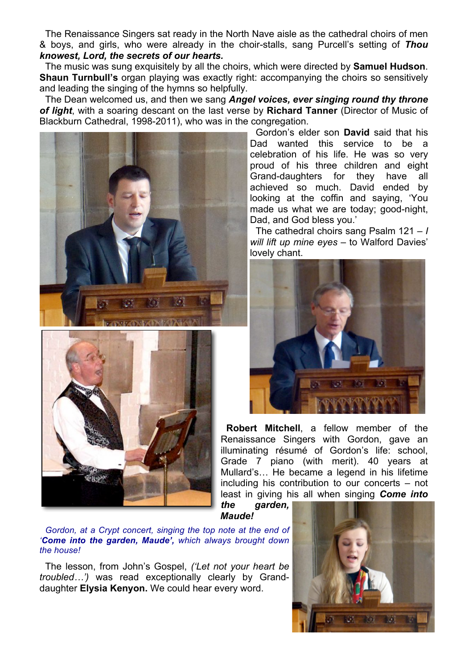The Renaissance Singers sat ready in the North Nave aisle as the cathedral choirs of men & boys, and girls, who were already in the choir-stalls, sang Purcell's setting of *Thou knowest, Lord, the secrets of our hearts.*

The music was sung exquisitely by all the choirs, which were directed by **Samuel Hudson**. **Shaun Turnbull's** organ playing was exactly right: accompanying the choirs so sensitively and leading the singing of the hymns so helpfully.

The Dean welcomed us, and then we sang *Angel voices, ever singing round thy throne of light*, with a soaring descant on the last verse by **Richard Tanner** (Director of Music of Blackburn Cathedral, 1998-2011), who was in the congregation.





Gordon's elder son **David** said that his Dad wanted this service to be a celebration of his life. He was so very proud of his three children and eight Grand-daughters for they have all achieved so much. David ended by looking at the coffin and saying, 'You made us what we are today; good-night, Dad, and God bless you.'

The cathedral choirs sang Psalm 121 – *I will lift up mine eyes –* to Walford Davies' lovely chant.



**Robert Mitchell**, a fellow member of the Renaissance Singers with Gordon, gave an illuminating résumé of Gordon's life: school, Grade 7 piano (with merit). 40 years at Mullard's… He became a legend in his lifetime including his contribution to our concerts – not least in giving his all when singing *Come into* 

*the garden, Maude!* 

*Gordon, at a Crypt concert, singing the top note at the end of 'Come into the garden, Maude', which always brought down the house!*

The lesson, from John's Gospel, *('Let not your heart be troubled…')* was read exceptionally clearly by Granddaughter **Elysia Kenyon.** We could hear every word.

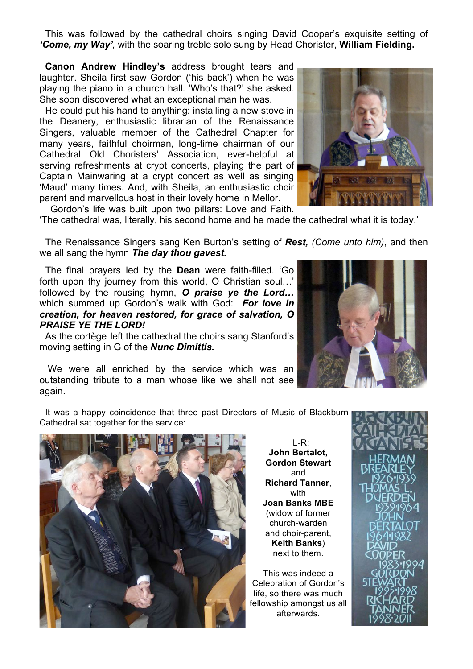This was followed by the cathedral choirs singing David Cooper's exquisite setting of *'Come, my Way',* with the soaring treble solo sung by Head Chorister, **William Fielding.**

**Canon Andrew Hindley's** address brought tears and laughter. Sheila first saw Gordon ('his back') when he was playing the piano in a church hall. 'Who's that?' she asked. She soon discovered what an exceptional man he was.

He could put his hand to anything: installing a new stove in the Deanery, enthusiastic librarian of the Renaissance Singers, valuable member of the Cathedral Chapter for many years, faithful choirman, long-time chairman of our Cathedral Old Choristers' Association, ever-helpful at serving refreshments at crypt concerts, playing the part of Captain Mainwaring at a crypt concert as well as singing 'Maud' many times. And, with Sheila, an enthusiastic choir parent and marvellous host in their lovely home in Mellor. Gordon's life was built upon two pillars: Love and Faith.



'The cathedral was, literally, his second home and he made the cathedral what it is today.'

The Renaissance Singers sang Ken Burton's setting of *Rest, (Come unto him)*, and then we all sang the hymn *The day thou gavest.*

The final prayers led by the **Dean** were faith-filled. 'Go forth upon thy journey from this world, O Christian soul…' followed by the rousing hymn, *O praise ye the Lord…* which summed up Gordon's walk with God: *For love in creation, for heaven restored, for grace of salvation, O PRAISE YE THE LORD!*

As the cortège left the cathedral the choirs sang Stanford's moving setting in G of the *Nunc Dimittis.*

 We were all enriched by the service which was an outstanding tribute to a man whose like we shall not see again.

It was a happy coincidence that three past Directors of Music of Blackburn Cathedral sat together for the service:



L-R: **John Bertalot, Gordon Stewart** and **Richard Tanner**, with **Joan Banks MBE** (widow of former church-warden and choir-parent, **Keith Banks**) next to them.

This was indeed a Celebration of Gordon's life, so there was much fellowship amongst us all afterwards.